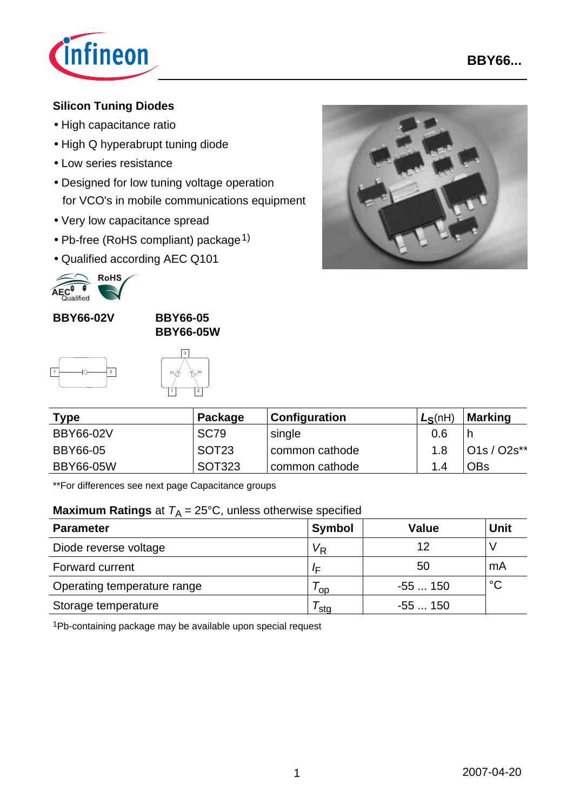

### **Silicon Tuning Diodes**

- High capacitance ratio
- High Q hyperabrupt tuning diode
- Low series resistance
- Designed for low tuning voltage operation for VCO's in mobile communications equipment
- Very low capacitance spread
- Pb-free (RoHS compliant) package<sup>1)</sup>
- Qualified according AEC Q101



**BBY66-02V BBY66-05**

**BBY66-05W**





| Type             | Package           | Configuration  | $L_S(nH)$ | Marking         |
|------------------|-------------------|----------------|-----------|-----------------|
| <b>BBY66-02V</b> | SC <sub>79</sub>  | single         | 0.6       |                 |
| BBY66-05         | SOT <sub>23</sub> | common cathode | 1.8       | $ O1s/O2s^{**}$ |
| <b>BBY66-05W</b> | SOT323            | common cathode | 14        | OBs             |

\*\*For differences see next page Capacitance groups

### **Maximum Ratings** at  $T_A = 25^{\circ}$ C, unless otherwise specified

| <b>Parameter</b>            | Symbol         | <b>Value</b> | <b>Unit</b> |
|-----------------------------|----------------|--------------|-------------|
| Diode reverse voltage       | V <sub>R</sub> | 12           |             |
| Forward current             | /⊏             | 50           | mA          |
| Operating temperature range | oo'            | $-55150$     | $^{\circ}C$ |
| Storage temperature         | sta            | -55  150     |             |

1Pb-containing package may be available upon special request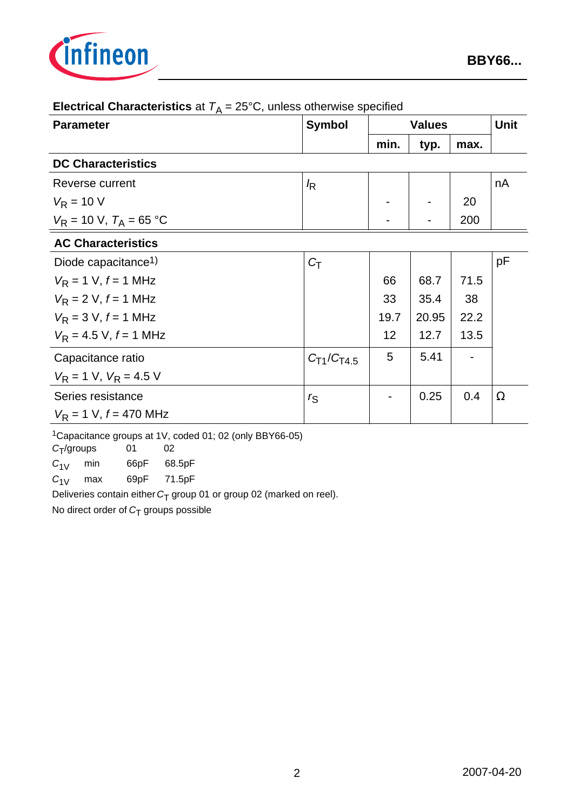

| <b>Parameter</b>                          | <b>Symbol</b>     | <b>Values</b>   |       |      | <b>Unit</b> |
|-------------------------------------------|-------------------|-----------------|-------|------|-------------|
|                                           |                   | min.            | typ.  | max. |             |
| <b>DC Characteristics</b>                 |                   |                 |       |      |             |
| Reverse current                           | $\sqrt{R}$        |                 |       |      | nA          |
| $V_R = 10 V$                              |                   |                 |       | 20   |             |
| $V_R = 10 \text{ V}, T_A = 65 \text{ °C}$ |                   |                 |       | 200  |             |
| <b>AC Characteristics</b>                 |                   |                 |       |      |             |
| Diode capacitance <sup>1)</sup>           | $C_{\text{T}}$    |                 |       |      | pF          |
| $V_R = 1$ V, $f = 1$ MHz                  |                   | 66              | 68.7  | 71.5 |             |
| $V_R = 2 V, f = 1 MHz$                    |                   | 33              | 35.4  | 38   |             |
| $V_R = 3 V, f = 1 MHz$                    |                   | 19.7            | 20.95 | 22.2 |             |
| $V_R = 4.5$ V, $f = 1$ MHz                |                   | 12 <sup>2</sup> | 12.7  | 13.5 |             |
| Capacitance ratio                         | $C_{T1}/C_{T4.5}$ | 5               | 5.41  |      |             |
| $V_R = 1$ V, $V_R = 4.5$ V                |                   |                 |       |      |             |
| Series resistance                         | $r_{\mathsf{S}}$  |                 | 0.25  | 0.4  | $\Omega$    |
| $V_R = 1$ V, $f = 470$ MHz                |                   |                 |       |      |             |

# **Electrical Characteristics** at  $T_A = 25^\circ \text{C}$ , unless otherwise specified

1Capacitance groups at 1V, coded 01; 02 (only BBY66-05)

*C*T/groups 01 02

*C*1V min 66pF 68.5pF

*C*1V max 69pF 71.5pF

Deliveries contain either *C*<sub>T</sub> group 01 or group 02 (marked on reel).

No direct order of C<sub>T</sub> groups possible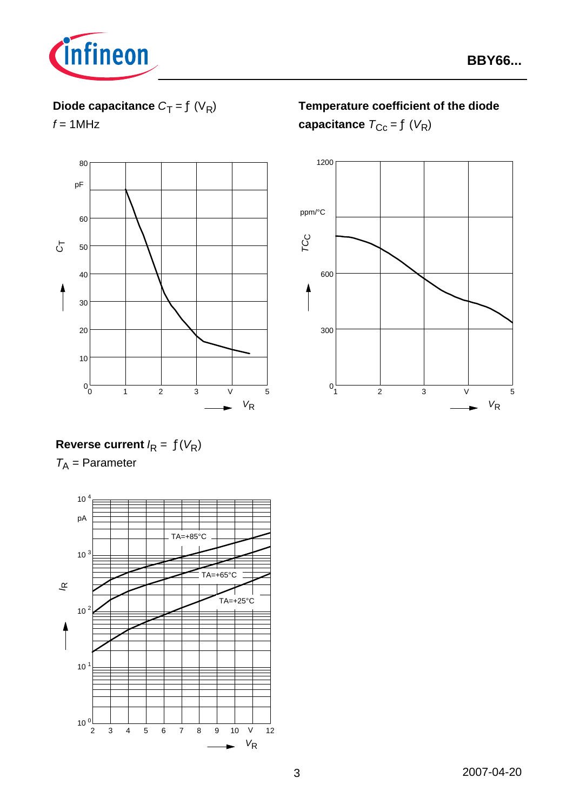

# **Diode capacitance**  $C_T = f(V_R)$

 $f = 1$ MHz



**Temperature coefficient of the diode capacitance**  $T_{\text{Cc}} = f(V_R)$ 



# **Reverse current**  $I_R = f(V_R)$

*T*A = Parameter

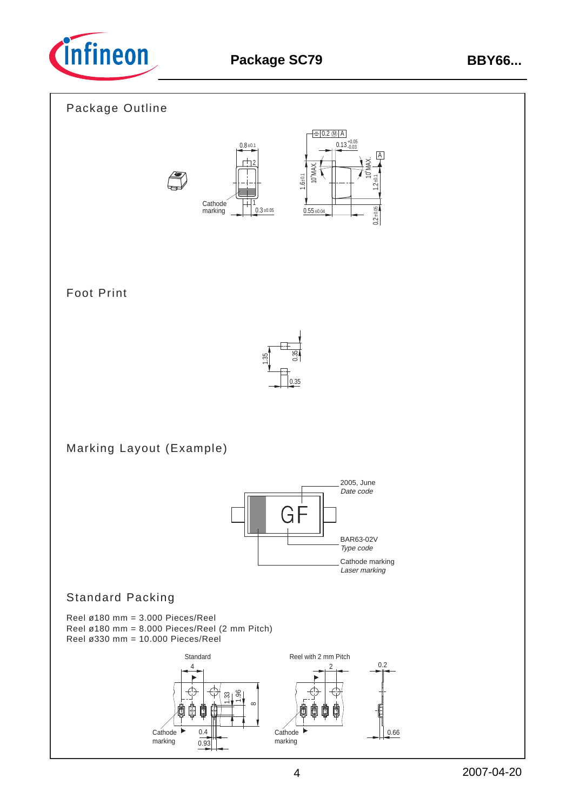

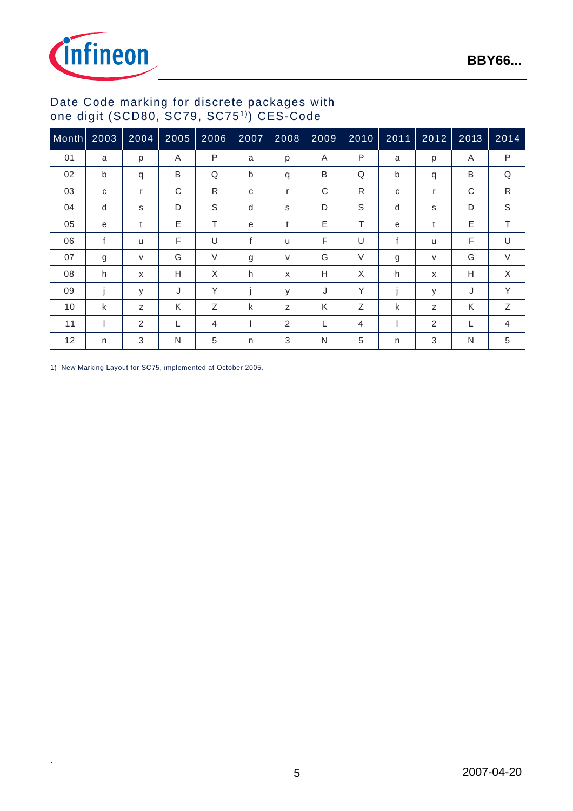



### Date Code marking for discrete packages with one digit (SCD80, SC79, SC751)) CES-Code

| Month | 2003 | 2004   | 2005 | 2006   | 2007 | 2008 | 2009 | 2010   | 2011 | 2012         | 2013 | 2014         |
|-------|------|--------|------|--------|------|------|------|--------|------|--------------|------|--------------|
| 01    | a    | p      | A    | P      | a    | p    | A    | P      | a    | p            | A    | P            |
| 02    | b    | q      | B    | Q      | b    | q    | B    | Q      | b    | q            | B    | Q            |
| 03    | C    | r      | C    | R      | C    | r    | C    | R      | C    | r            | C    | $\mathsf{R}$ |
| 04    | d    | s      | D    | S      | d    | s    | D    | S      | d    | s            | D    | $\mathbb S$  |
| 05    | e    | t      | E    | T.     | e    | t    | E    | т      | e    | t            | E    | T.           |
| 06    | f    | u      | F    | U      | f    | u    | F    | U      | f    | $\mathsf{u}$ | F    | U            |
| 07    | g    | $\vee$ | G    | $\vee$ | g    | V    | G    | $\vee$ | g    | $\vee$       | G    | $\vee$       |
| 08    | h    | X      | Н    | X      | h    | X    | H    | X      | h    | X            | Н    | X            |
| 09    | j    | У      | J    | Y      | İ    | y    | J    | Υ      | j    | y            | J    | Y            |
| 10    | k    | Z      | K    | Ζ      | k    | Z    | K    | Ζ      | k    | Z            | K    | Ζ            |
| 11    |      | 2      | L    | 4      |      | 2    | L    | 4      |      | 2            | L    | 4            |
| 12    | n    | 3      | N    | 5      | n    | 3    | N    | 5      | n    | 3            | N    | 5            |

1) New Marking Layout for SC75, implemented at October 2005.

.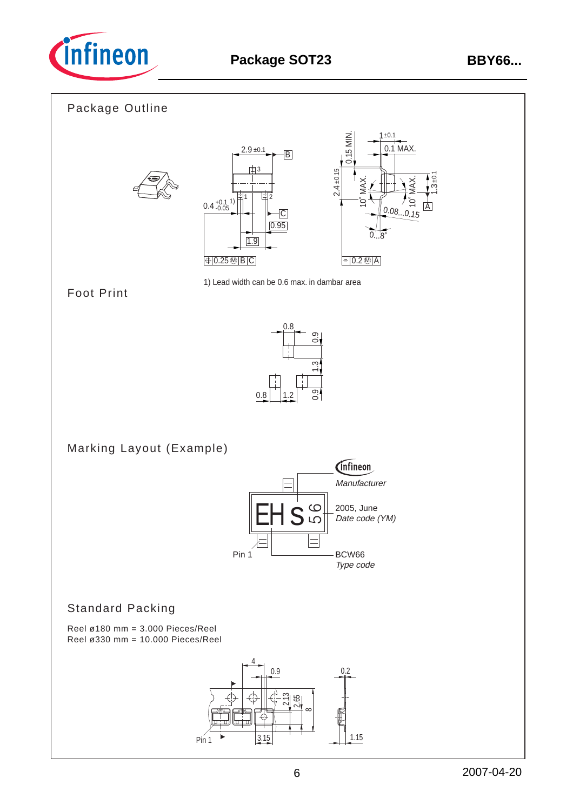

## Package Outline







1) Lead width can be 0.6 max. in dambar area

## Foot Print



Marking Layout (Example)



## Standard Packing

Reel ø180 mm = 3.000 Pieces/Reel Reel ø330 mm = 10.000 Pieces/Reel

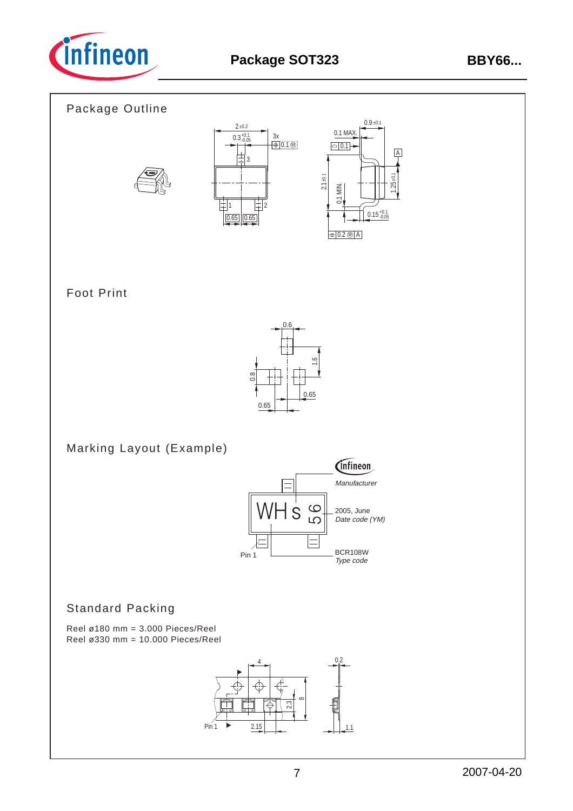